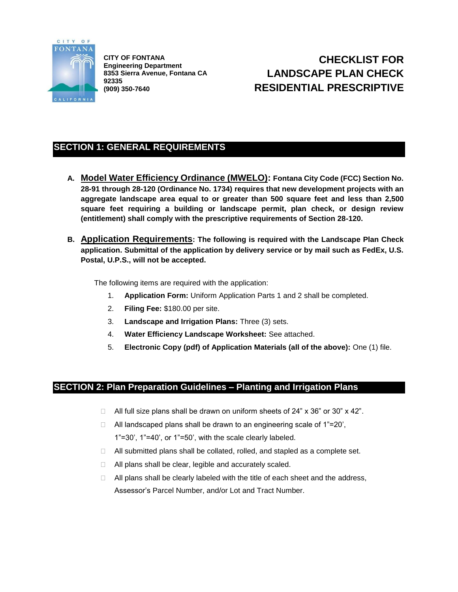

**CITY OF FONTANA Engineering Department 8353 Sierra Avenue, Fontana CA 92335 (909) 350-7640**

# **CHECKLIST FOR LANDSCAPE PLAN CHECK RESIDENTIAL PRESCRIPTIVE**

## **SECTION 1: GENERAL REQUIREMENTS**

- **A. Model Water Efficiency Ordinance (MWELO): Fontana City Code (FCC) Section No. 28-91 through 28-120 (Ordinance No. 1734) requires that new development projects with an aggregate landscape area equal to or greater than 500 square feet and less than 2,500 square feet requiring a building or landscape permit, plan check, or design review (entitlement) shall comply with the prescriptive requirements of Section 28-120.**
- **B. Application Requirements: The following is required with the Landscape Plan Check application. Submittal of the application by delivery service or by mail such as FedEx, U.S. Postal, U.P.S., will not be accepted.**

The following items are required with the application:

- 1. **Application Form:** Uniform Application Parts 1 and 2 shall be completed.
- 2. **Filing Fee:** \$180.00 per site.
- 3. **Landscape and Irrigation Plans:** Three (3) sets.
- 4. **Water Efficiency Landscape Worksheet:** See attached.
- 5. **Electronic Copy (pdf) of Application Materials (all of the above):** One (1) file.

### **SECTION 2: Plan Preparation Guidelines – Planting and Irrigation Plans**

- $\Box$  All full size plans shall be drawn on uniform sheets of 24" x 36" or 30" x 42".
- $\Box$  All landscaped plans shall be drawn to an engineering scale of 1"=20', 1"=30', 1"=40', or 1"=50', with the scale clearly labeled.
- $\Box$  All submitted plans shall be collated, rolled, and stapled as a complete set.
- □ All plans shall be clear, legible and accurately scaled.
- $\Box$  All plans shall be clearly labeled with the title of each sheet and the address, Assessor's Parcel Number, and/or Lot and Tract Number.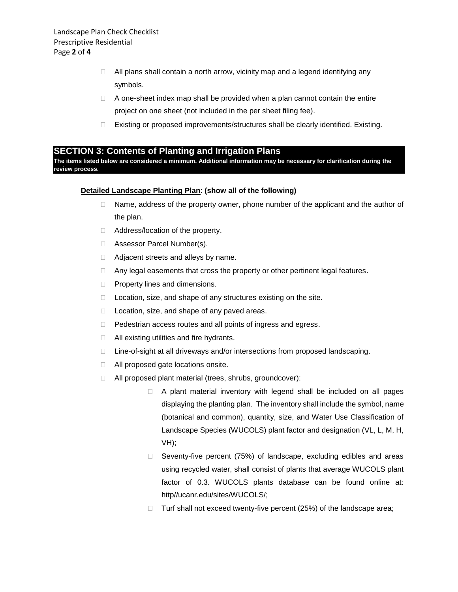- $\Box$  All plans shall contain a north arrow, vicinity map and a legend identifying any symbols.
- $\Box$  A one-sheet index map shall be provided when a plan cannot contain the entire project on one sheet (not included in the per sheet filing fee).
- □ Existing or proposed improvements/structures shall be clearly identified. Existing.

#### **SECTION 3: Contents of Planting and Irrigation Plans**

**The items listed below are considered a minimum. Additional information may be necessary for clarification during the review process.**

#### **Detailed Landscape Planting Plan**: **(show all of the following)**

- $\Box$  Name, address of the property owner, phone number of the applicant and the author of the plan.
- □ Address/location of the property.
- □ Assessor Parcel Number(s).
- □ Adjacent streets and alleys by name.
- □ Any legal easements that cross the property or other pertinent legal features.
- $\Box$  Property lines and dimensions.
- $\Box$  Location, size, and shape of any structures existing on the site.
- $\Box$  Location, size, and shape of any paved areas.
- D Pedestrian access routes and all points of ingress and egress.
- $\Box$  All existing utilities and fire hydrants.
- □ Line-of-sight at all driveways and/or intersections from proposed landscaping.
- □ All proposed gate locations onsite.
- All proposed plant material (trees, shrubs, groundcover):
	- $\Box$  A plant material inventory with legend shall be included on all pages displaying the planting plan. The inventory shall include the symbol, name (botanical and common), quantity, size, and Water Use Classification of Landscape Species (WUCOLS) plant factor and designation (VL, L, M, H, VH);
	- □ Seventy-five percent (75%) of landscape, excluding edibles and areas using recycled water, shall consist of plants that average WUCOLS plant factor of 0.3. WUCOLS plants database can be found online at: http//ucanr.edu/sites/WUCOLS/;
	- $\Box$  Turf shall not exceed twenty-five percent (25%) of the landscape area;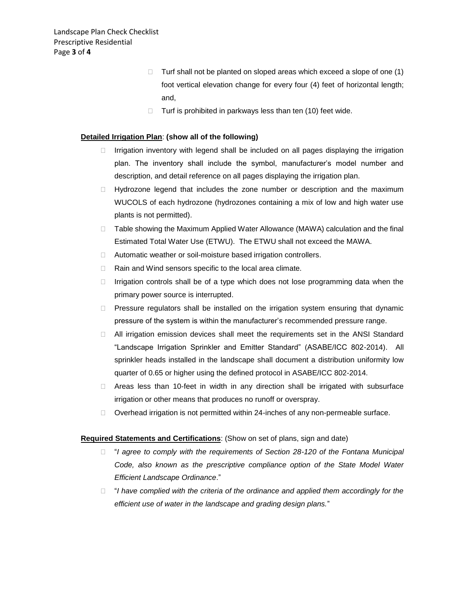- $\Box$  Turf shall not be planted on sloped areas which exceed a slope of one (1) foot vertical elevation change for every four (4) feet of horizontal length; and,
- $\Box$  Turf is prohibited in parkways less than ten (10) feet wide.

#### **Detailed Irrigation Plan**: **(show all of the following)**

- $\Box$  Irrigation inventory with legend shall be included on all pages displaying the irrigation plan. The inventory shall include the symbol, manufacturer's model number and description, and detail reference on all pages displaying the irrigation plan.
- $\Box$  Hydrozone legend that includes the zone number or description and the maximum WUCOLS of each hydrozone (hydrozones containing a mix of low and high water use plants is not permitted).
- $\Box$  Table showing the Maximum Applied Water Allowance (MAWA) calculation and the final Estimated Total Water Use (ETWU). The ETWU shall not exceed the MAWA.
- □ Automatic weather or soil-moisture based irrigation controllers.
- $\Box$  Rain and Wind sensors specific to the local area climate.
- $\Box$  Irrigation controls shall be of a type which does not lose programming data when the primary power source is interrupted.
- $\Box$  Pressure regulators shall be installed on the irrigation system ensuring that dynamic pressure of the system is within the manufacturer's recommended pressure range.
- $\Box$  All irrigation emission devices shall meet the requirements set in the ANSI Standard "Landscape Irrigation Sprinkler and Emitter Standard" (ASABE/ICC 802-2014). All sprinkler heads installed in the landscape shall document a distribution uniformity low quarter of 0.65 or higher using the defined protocol in ASABE/ICC 802-2014.
- □ Areas less than 10-feet in width in any direction shall be irrigated with subsurface irrigation or other means that produces no runoff or overspray.
- $\Box$  Overhead irrigation is not permitted within 24-inches of any non-permeable surface.

#### **Required Statements and Certifications**: (Show on set of plans, sign and date)

- □ "I agree to comply with the requirements of Section 28-120 of the Fontana Municipal *Code, also known as the prescriptive compliance option of the State Model Water Efficient Landscape Ordinance*."
- "*I have complied with the criteria of the ordinance and applied them accordingly for the efficient use of water in the landscape and grading design plans.*"